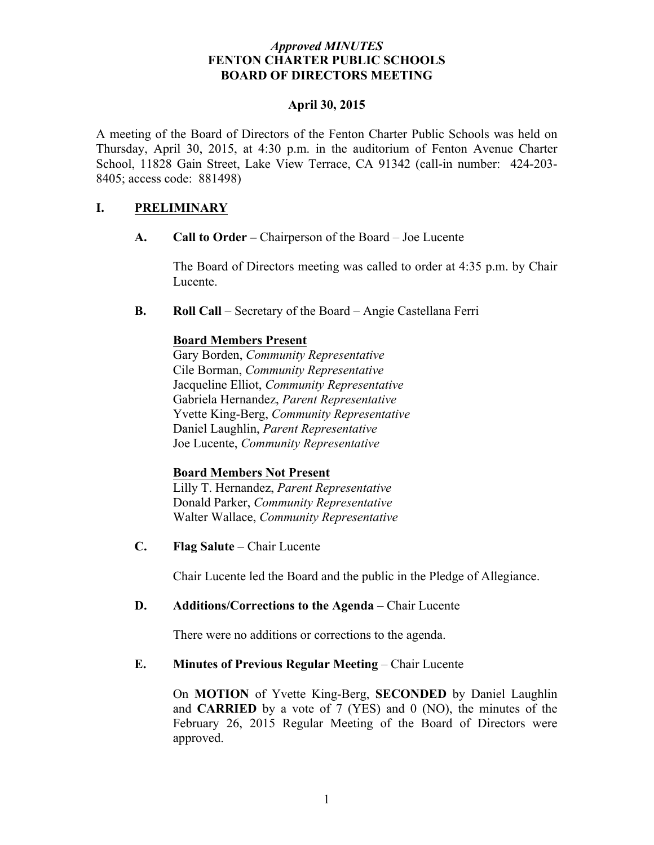### *Approved MINUTES* **FENTON CHARTER PUBLIC SCHOOLS BOARD OF DIRECTORS MEETING**

#### **April 30, 2015**

A meeting of the Board of Directors of the Fenton Charter Public Schools was held on Thursday, April 30, 2015, at 4:30 p.m. in the auditorium of Fenton Avenue Charter School, 11828 Gain Street, Lake View Terrace, CA 91342 (call-in number: 424-203- 8405; access code: 881498)

### **I. PRELIMINARY**

**A. Call to Order –** Chairperson of the Board – Joe Lucente

The Board of Directors meeting was called to order at 4:35 p.m. by Chair Lucente.

**B. Roll Call** – Secretary of the Board – Angie Castellana Ferri

#### **Board Members Present**

Gary Borden, *Community Representative* Cile Borman, *Community Representative* Jacqueline Elliot, *Community Representative* Gabriela Hernandez, *Parent Representative* Yvette King-Berg, *Community Representative* Daniel Laughlin, *Parent Representative* Joe Lucente, *Community Representative*

# **Board Members Not Present**

Lilly T. Hernandez, *Parent Representative* Donald Parker, *Community Representative* Walter Wallace, *Community Representative*

**C. Flag Salute** – Chair Lucente

Chair Lucente led the Board and the public in the Pledge of Allegiance.

#### **D. Additions/Corrections to the Agenda** – Chair Lucente

There were no additions or corrections to the agenda.

### **E. Minutes of Previous Regular Meeting – Chair Lucente**

On **MOTION** of Yvette King-Berg, **SECONDED** by Daniel Laughlin and **CARRIED** by a vote of 7 (YES) and 0 (NO), the minutes of the February 26, 2015 Regular Meeting of the Board of Directors were approved.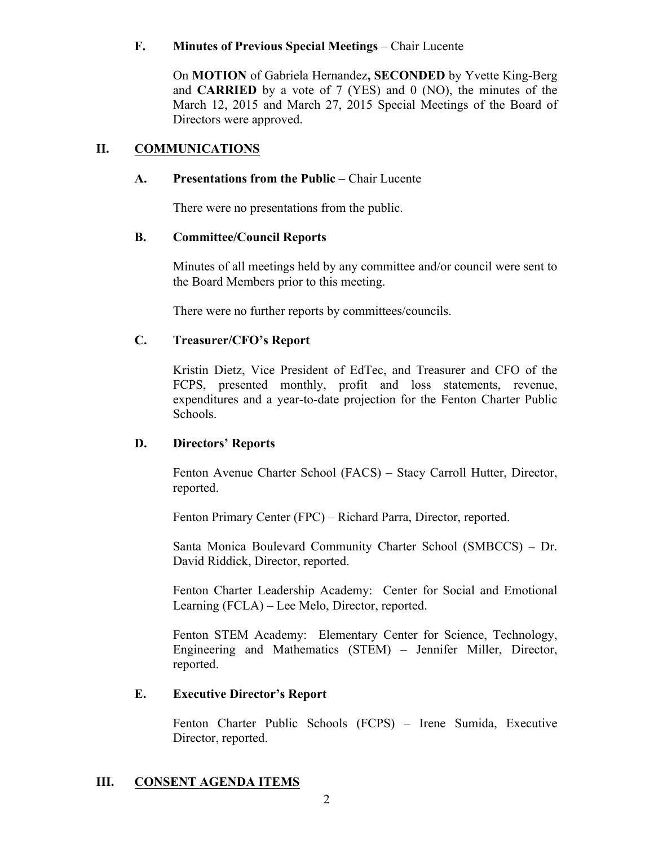### **F. Minutes of Previous Special Meetings** – Chair Lucente

On **MOTION** of Gabriela Hernandez**, SECONDED** by Yvette King-Berg and **CARRIED** by a vote of 7 (YES) and 0 (NO), the minutes of the March 12, 2015 and March 27, 2015 Special Meetings of the Board of Directors were approved.

### **II. COMMUNICATIONS**

# **A. Presentations from the Public** – Chair Lucente

There were no presentations from the public.

### **B. Committee/Council Reports**

Minutes of all meetings held by any committee and/or council were sent to the Board Members prior to this meeting.

There were no further reports by committees/councils.

# **C. Treasurer/CFO's Report**

Kristin Dietz, Vice President of EdTec, and Treasurer and CFO of the FCPS, presented monthly, profit and loss statements, revenue, expenditures and a year-to-date projection for the Fenton Charter Public Schools.

# **D. Directors' Reports**

Fenton Avenue Charter School (FACS) – Stacy Carroll Hutter, Director, reported.

Fenton Primary Center (FPC) – Richard Parra, Director, reported.

Santa Monica Boulevard Community Charter School (SMBCCS) – Dr. David Riddick, Director, reported.

Fenton Charter Leadership Academy: Center for Social and Emotional Learning (FCLA) – Lee Melo, Director, reported.

Fenton STEM Academy: Elementary Center for Science, Technology, Engineering and Mathematics (STEM) – Jennifer Miller, Director, reported.

# **E. Executive Director's Report**

Fenton Charter Public Schools (FCPS) – Irene Sumida, Executive Director, reported.

# **III. CONSENT AGENDA ITEMS**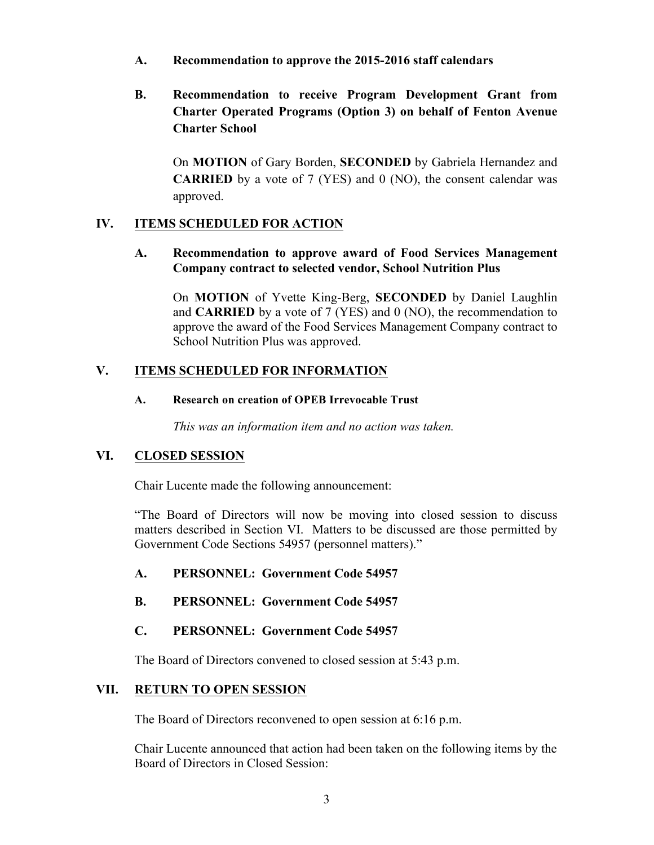- **A. Recommendation to approve the 2015-2016 staff calendars**
- **B. Recommendation to receive Program Development Grant from Charter Operated Programs (Option 3) on behalf of Fenton Avenue Charter School**

On **MOTION** of Gary Borden, **SECONDED** by Gabriela Hernandez and **CARRIED** by a vote of 7 (YES) and 0 (NO), the consent calendar was approved.

### **IV. ITEMS SCHEDULED FOR ACTION**

**A. Recommendation to approve award of Food Services Management Company contract to selected vendor, School Nutrition Plus**

On **MOTION** of Yvette King-Berg, **SECONDED** by Daniel Laughlin and **CARRIED** by a vote of 7 (YES) and 0 (NO), the recommendation to approve the award of the Food Services Management Company contract to School Nutrition Plus was approved.

### **V. ITEMS SCHEDULED FOR INFORMATION**

#### **A. Research on creation of OPEB Irrevocable Trust**

*This was an information item and no action was taken.*

#### **VI. CLOSED SESSION**

Chair Lucente made the following announcement:

"The Board of Directors will now be moving into closed session to discuss matters described in Section VI. Matters to be discussed are those permitted by Government Code Sections 54957 (personnel matters)."

- **A. PERSONNEL: Government Code 54957**
- **B. PERSONNEL: Government Code 54957**

### **C. PERSONNEL: Government Code 54957**

The Board of Directors convened to closed session at 5:43 p.m.

#### **VII. RETURN TO OPEN SESSION**

The Board of Directors reconvened to open session at 6:16 p.m.

Chair Lucente announced that action had been taken on the following items by the Board of Directors in Closed Session: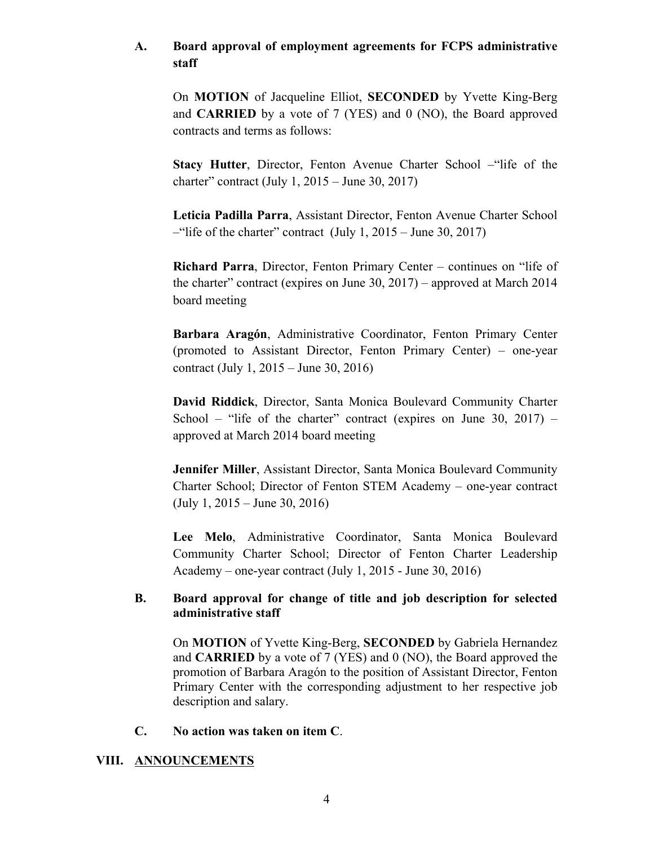# **A. Board approval of employment agreements for FCPS administrative staff**

On **MOTION** of Jacqueline Elliot, **SECONDED** by Yvette King-Berg and **CARRIED** by a vote of 7 (YES) and 0 (NO), the Board approved contracts and terms as follows:

**Stacy Hutter**, Director, Fenton Avenue Charter School –"life of the charter" contract (July 1, 2015 – June 30, 2017)

**Leticia Padilla Parra**, Assistant Director, Fenton Avenue Charter School  $-$ "life of the charter" contract (July 1, 2015 – June 30, 2017)

**Richard Parra**, Director, Fenton Primary Center – continues on "life of the charter" contract (expires on June 30, 2017) – approved at March 2014 board meeting

**Barbara Aragón**, Administrative Coordinator, Fenton Primary Center (promoted to Assistant Director, Fenton Primary Center) – one-year contract (July 1, 2015 – June 30, 2016)

**David Riddick**, Director, Santa Monica Boulevard Community Charter School – "life of the charter" contract (expires on June 30, 2017) – approved at March 2014 board meeting

**Jennifer Miller**, Assistant Director, Santa Monica Boulevard Community Charter School; Director of Fenton STEM Academy – one-year contract (July 1, 2015 – June 30, 2016)

**Lee Melo**, Administrative Coordinator, Santa Monica Boulevard Community Charter School; Director of Fenton Charter Leadership Academy – one-year contract (July 1, 2015 - June 30, 2016)

# **B. Board approval for change of title and job description for selected administrative staff**

On **MOTION** of Yvette King-Berg, **SECONDED** by Gabriela Hernandez and **CARRIED** by a vote of 7 (YES) and 0 (NO), the Board approved the promotion of Barbara Aragón to the position of Assistant Director, Fenton Primary Center with the corresponding adjustment to her respective job description and salary.

#### **C. No action was taken on item C**.

# **VIII. ANNOUNCEMENTS**